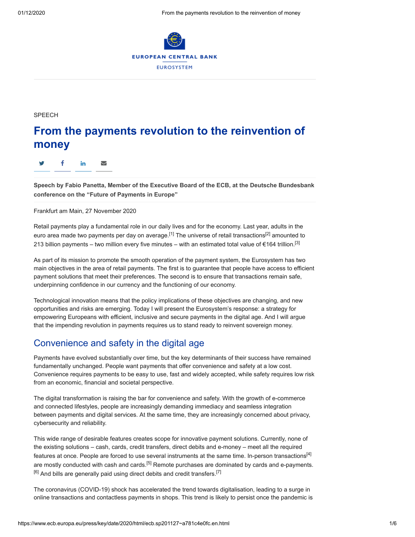

**SPEECH** 

# **From the payments revolution to the reinvention of money**

y f in ∑

**Speech by Fabio Panetta, Member of the Executive Board of the ECB, at the Deutsche Bundesbank conference on the "Future of Payments in Europe"**

Frankfurt am Main, 27 November 2020

Retail payments play a fundamental role in our daily lives and for the economy. Last year, adults in the euro area made two payments per day on average.<sup>[1]</sup> The universe of retail transactions<sup>[2]</sup> amounted to 213 billion payments – two million every five minutes – with an estimated total value of €164 trillion.<sup>[3]</sup>

As part of its mission to promote the smooth operation of the payment system, the Eurosystem has two main objectives in the area of retail payments. The first is to guarantee that people have access to efficient payment solutions that meet their preferences. The second is to ensure that transactions remain safe, underpinning confidence in our currency and the functioning of our economy.

Technological innovation means that the policy implications of these objectives are changing, and new opportunities and risks are emerging. Today I will present the Eurosystem's response: a strategy for empowering Europeans with efficient, inclusive and secure payments in the digital age. And I will argue that the impending revolution in payments requires us to stand ready to reinvent sovereign money.

## Convenience and safety in the digital age

Payments have evolved substantially over time, but the key determinants of their success have remained fundamentally unchanged. People want payments that offer convenience and safety at a low cost. Convenience requires payments to be easy to use, fast and widely accepted, while safety requires low risk from an economic, financial and societal perspective.

The digital transformation is raising the bar for convenience and safety. With the growth of e-commerce and connected lifestyles, people are increasingly demanding immediacy and seamless integration between payments and digital services. At the same time, they are increasingly concerned about privacy, cybersecurity and reliability.

This wide range of desirable features creates scope for innovative payment solutions. Currently, none of the existing solutions – cash, cards, credit transfers, direct debits and e-money – meet all the required features at once. People are forced to use several instruments at the same time. In-person transactions<sup>[4]</sup> are mostly conducted with cash and cards.<sup>[5]</sup> Remote purchases are dominated by cards and e-payments.  $[6]$  And bills are generally paid using direct debits and credit transfers.<sup>[7]</sup>

The coronavirus (COVID-19) shock has accelerated the trend towards digitalisation, leading to a surge in online transactions and contactless payments in shops. This trend is likely to persist once the pandemic is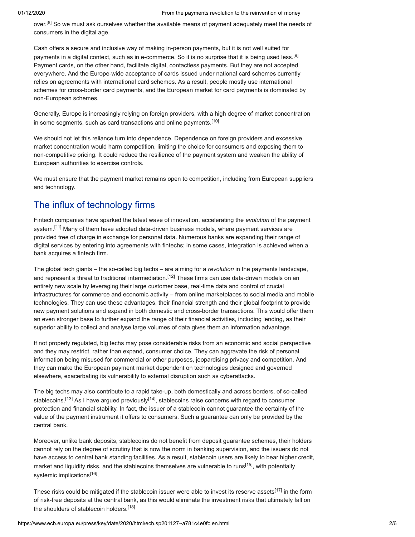over.<sup>[8]</sup> So we must ask ourselves whether the available means of payment adequately meet the needs of consumers in the digital age.

Cash offers a secure and inclusive way of making in-person payments, but it is not well suited for payments in a digital context, such as in e-commerce. So it is no surprise that it is being used less.<sup>[9]</sup> Payment cards, on the other hand, facilitate digital, contactless payments. But they are not accepted everywhere. And the Europe-wide acceptance of cards issued under national card schemes currently relies on agreements with international card schemes. As a result, people mostly use international schemes for cross-border card payments, and the European market for card payments is dominated by non-European schemes.

Generally, Europe is increasingly relying on foreign providers, with a high degree of market concentration in some segments, such as card transactions and online payments.<sup>[10]</sup>

We should not let this reliance turn into dependence. Dependence on foreign providers and excessive market concentration would harm competition, limiting the choice for consumers and exposing them to non-competitive pricing. It could reduce the resilience of the payment system and weaken the ability of European authorities to exercise controls.

We must ensure that the payment market remains open to competition, including from European suppliers and technology.

# The influx of technology firms

Fintech companies have sparked the latest wave of innovation, accelerating the *evolution* of the payment system.<sup>[11]</sup> Many of them have adopted data-driven business models, where payment services are provided free of charge in exchange for personal data. Numerous banks are expanding their range of digital services by entering into agreements with fintechs; in some cases, integration is achieved when a bank acquires a fintech firm.

The global tech giants – the so-called big techs – are aiming for a *revolution* in the payments landscape, and represent a threat to traditional intermediation.<sup>[12]</sup> These firms can use data-driven models on an entirely new scale by leveraging their large customer base, real-time data and control of crucial infrastructures for commerce and economic activity – from online marketplaces to social media and mobile technologies. They can use these advantages, their financial strength and their global footprint to provide new payment solutions and expand in both domestic and cross-border transactions. This would offer them an even stronger base to further expand the range of their financial activities, including lending, as their superior ability to collect and analyse large volumes of data gives them an information advantage.

If not properly regulated, big techs may pose considerable risks from an economic and social perspective and they may restrict, rather than expand, consumer choice. They can aggravate the risk of personal information being misused for commercial or other purposes, jeopardising privacy and competition. And they can make the European payment market dependent on technologies designed and governed elsewhere, exacerbating its vulnerability to external disruption such as cyberattacks.

The big techs may also contribute to a rapid take-up, both domestically and across borders, of so-called stablecoins.<sup>[13]</sup> As I have argued previously<sup>[14]</sup>, stablecoins raise concerns with regard to consumer protection and financial stability. In fact, the issuer of a stablecoin cannot guarantee the certainty of the value of the payment instrument it offers to consumers. Such a guarantee can only be provided by the central bank.

Moreover, unlike bank deposits, stablecoins do not benefit from deposit guarantee schemes, their holders cannot rely on the degree of scrutiny that is now the norm in banking supervision, and the issuers do not have access to central bank standing facilities. As a result, stablecoin users are likely to bear higher credit, market and liquidity risks, and the stablecoins themselves are vulnerable to runs<sup>[15]</sup>, with potentially systemic implications<sup>[16]</sup>.

These risks could be mitigated if the stablecoin issuer were able to invest its reserve assets<sup>[17]</sup> in the form of risk-free deposits at the central bank, as this would eliminate the investment risks that ultimately fall on the shoulders of stablecoin holders.<sup>[18]</sup>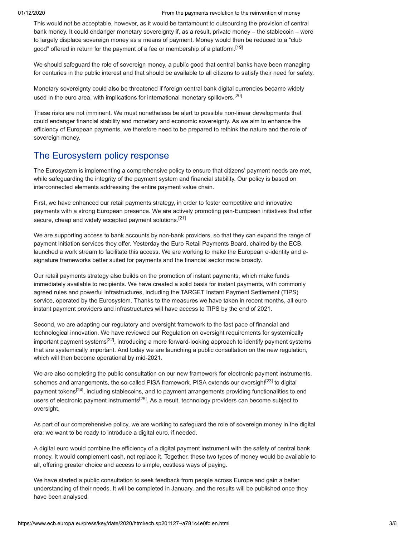#### 01/12/2020 From the payments revolution to the reinvention of money

This would not be acceptable, however, as it would be tantamount to outsourcing the provision of central bank money. It could endanger monetary sovereignty if, as a result, private money – the stablecoin – were to largely displace sovereign money as a means of payment. Money would then be reduced to a "club good" offered in return for the payment of a fee or membership of a platform.[19]

We should safeguard the role of sovereign money, a public good that central banks have been managing for centuries in the public interest and that should be available to all citizens to satisfy their need for safety.

Monetary sovereignty could also be threatened if foreign central bank digital currencies became widely used in the euro area, with implications for international monetary spillovers.<sup>[20]</sup>

These risks are not imminent. We must nonetheless be alert to possible non-linear developments that could endanger financial stability and monetary and economic sovereignty. As we aim to enhance the efficiency of European payments, we therefore need to be prepared to rethink the nature and the role of sovereign money.

### The Eurosystem policy response

The Eurosystem is implementing a comprehensive policy to ensure that citizens' payment needs are met, while safeguarding the integrity of the payment system and financial stability. Our policy is based on interconnected elements addressing the entire payment value chain.

First, we have enhanced our retail payments strategy, in order to foster competitive and innovative payments with a strong European presence. We are actively promoting pan-European initiatives that offer secure, cheap and widely accepted payment solutions.<sup>[21]</sup>

We are supporting access to bank accounts by non-bank providers, so that they can expand the range of payment initiation services they offer. Yesterday the Euro Retail Payments Board, chaired by the ECB, launched a work stream to facilitate this access. We are working to make the European e-identity and esignature frameworks better suited for payments and the financial sector more broadly.

Our retail payments strategy also builds on the promotion of instant payments, which make funds immediately available to recipients. We have created a solid basis for instant payments, with commonly agreed rules and powerful infrastructures, including the TARGET Instant Payment Settlement (TIPS) service, operated by the Eurosystem. Thanks to the measures we have taken in recent months, all euro instant payment providers and infrastructures will have access to TIPS by the end of 2021.

Second, we are adapting our regulatory and oversight framework to the fast pace of financial and technological innovation. We have reviewed our Regulation on oversight requirements for systemically important payment systems<sup>[22]</sup>, introducing a more forward-looking approach to identify payment systems that are systemically important. And today we are launching a public consultation on the new regulation, which will then become operational by mid-2021.

We are also completing the public consultation on our new framework for electronic payment instruments, schemes and arrangements, the so-called PISA framework. PISA extends our oversight<sup>[23]</sup> to digital payment tokens<sup>[24]</sup>, including stablecoins, and to payment arrangements providing functionalities to end users of electronic payment instruments<sup>[25]</sup>. As a result, technology providers can become subject to oversight.

As part of our comprehensive policy, we are working to safeguard the role of sovereign money in the digital era: we want to be ready to introduce a digital euro, if needed.

A digital euro would combine the efficiency of a digital payment instrument with the safety of central bank money. It would complement cash, not replace it. Together, these two types of money would be available to all, offering greater choice and access to simple, costless ways of paying.

We have started a public consultation to seek feedback from people across Europe and gain a better understanding of their needs. It will be completed in January, and the results will be published once they have been analysed.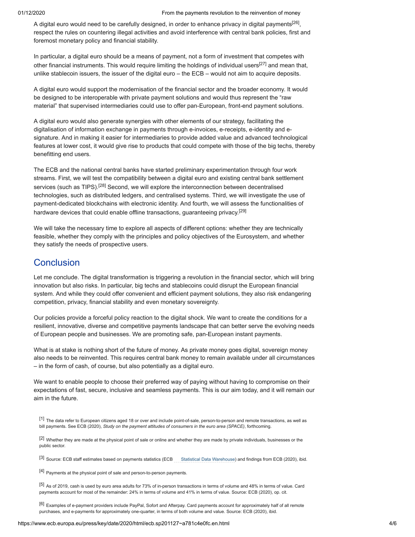A digital euro would need to be carefully designed, in order to enhance privacy in digital payments<sup>[26]</sup>, respect the rules on countering illegal activities and avoid interference with central bank policies, first and foremost monetary policy and financial stability.

In particular, a digital euro should be a means of payment, not a form of investment that competes with other financial instruments. This would require limiting the holdings of individual users<sup>[27]</sup> and mean that, unlike stablecoin issuers, the issuer of the digital euro – the ECB – would not aim to acquire deposits.

A digital euro would support the modernisation of the financial sector and the broader economy. It would be designed to be interoperable with private payment solutions and would thus represent the "raw material" that supervised intermediaries could use to offer pan-European, front-end payment solutions.

A digital euro would also generate synergies with other elements of our strategy, facilitating the digitalisation of information exchange in payments through e-invoices, e-receipts, e-identity and esignature. And in making it easier for intermediaries to provide added value and advanced technological features at lower cost, it would give rise to products that could compete with those of the big techs, thereby benefitting end users.

The ECB and the national central banks have started preliminary experimentation through four work streams. First, we will test the compatibility between a digital euro and existing central bank settlement services (such as TIPS).<sup>[28]</sup> Second, we will explore the interconnection between decentralised technologies, such as distributed ledgers, and centralised systems. Third, we will investigate the use of payment-dedicated blockchains with electronic identity. And fourth, we will assess the functionalities of hardware devices that could enable offline transactions, guaranteeing privacy.<sup>[29]</sup>

We will take the necessary time to explore all aspects of different options: whether they are technically feasible, whether they comply with the principles and policy objectives of the Eurosystem, and whether they satisfy the needs of prospective users.

### **Conclusion**

Let me conclude. The digital transformation is triggering a revolution in the financial sector, which will bring innovation but also risks. In particular, big techs and stablecoins could disrupt the European financial system. And while they could offer convenient and efficient payment solutions, they also risk endangering competition, privacy, financial stability and even monetary sovereignty.

Our policies provide a forceful policy reaction to the digital shock. We want to create the conditions for a resilient, innovative, diverse and competitive payments landscape that can better serve the evolving needs of European people and businesses. We are promoting safe, pan-European instant payments.

What is at stake is nothing short of the future of money. As private money goes digital, sovereign money also needs to be reinvented. This requires central bank money to remain available under all circumstances – in the form of cash, of course, but also potentially as a digital euro.

We want to enable people to choose their preferred way of paying without having to compromise on their expectations of fast, secure, inclusive and seamless payments. This is our aim today, and it will remain our aim in the future.

[1] The data refer to European citizens aged 18 or over and include point-of-sale, person-to-person and remote transactions, as well as bill payments. See ECB (2020), *Study on the payment attitudes of consumers in the euro area (SPACE)*, forthcoming.

[2] Whether they are made at the physical point of sale or online and whether they are made by private individuals, businesses or the public sector.

[3] Source: ECB staff estimates based on payments statistics (ECB [Statistical Data Warehouse\)](https://sdw.ecb.europa.eu/) and findings from ECB (2020), ibid.

[4] Payments at the physical point of sale and person-to-person payments.

[5] As of 2019, cash is used by euro area adults for 73% of in-person transactions in terms of volume and 48% in terms of value. Card payments account for most of the remainder: 24% in terms of volume and 41% in terms of value. Source: ECB (2020), op. cit.

[6] Examples of e-payment providers include PayPal, Sofort and Afterpay. Card payments account for approximately half of all remote purchases, and e-payments for approximately one-quarter, in terms of both volume and value. Source: ECB (2020), ibid.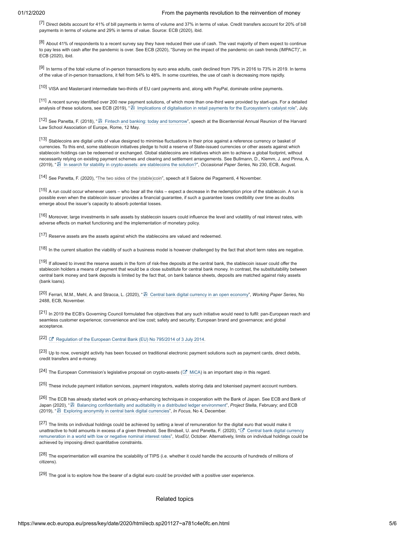[7] Direct debits account for 41% of bill payments in terms of volume and 37% in terms of value. Credit transfers account for 20% of bill payments in terms of volume and 29% in terms of value. Source: ECB (2020), ibid.

 $^{[8]}$  About 41% of respondents to a recent survey say they have reduced their use of cash. The vast majority of them expect to continue to pay less with cash after the pandemic is over. See ECB (2020), "Survey on the impact of the pandemic on cash trends (IMPACT)", in ECB (2020), ibid.

[9] In terms of the total volume of in-person transactions by euro area adults, cash declined from 79% in 2016 to 73% in 2019. In terms of the value of in-person transactions, it fell from 54% to 48%. In some countries, the use of cash is decreasing more rapidly.

[10] VISA and Mastercard intermediate two-thirds of EU card payments and, along with PayPal, dominate online payments.

[11] A recent survey identified over 200 new payment solutions, of which more than one-third were provided by start-ups. For a detailed analysis of these solutions, see ECB (2019), " [Implications of digitalisation in retail payments for the Eurosystem's catalyst role"](https://www.ecb.europa.eu/pub/pdf/other/ecb.implicationsdigitalisationretailpayments201907~d0a6f7abca.en.pdf), July.

[12] See Panetta, F. (2018), " [Fintech and banking: today and tomorrow](https://www.bancaditalia.it/pubblicazioni/interventi-direttorio/int-dir-2018/panetta-120518.pdf)", speech at the Bicentennial Annual Reunion of the Harvard Law School Association of Europe, Rome, 12 May.

[13] Stablecoins are digital units of value designed to minimise fluctuations in their price against a reference currency or basket of currencies. To this end, some stablecoin initiatives pledge to hold a reserve of State-issued currencies or other assets against which stablecoin holdings can be redeemed or exchanged. Global stablecoins are initiatives which aim to achieve a global footprint, without necessarily relying on existing payment schemes and clearing and settlement arrangements. See Bullmann, D., Klemm, J. and Pinna, A. (2019), " [In search for stability in crypto-assets: are stablecoins the solution?](https://www.ecb.europa.eu/pub/pdf/scpops/ecb.op230~d57946be3b.en.pdf)", *Occasional Paper Series*, No 230, ECB, August.

[14] See Panetta, F. (2020), "[The two sides of the \(stable\)coin"](https://www.ecb.europa.eu/press/key/date/2020/html/ecb.sp201104~7908460f0d.en.html), speech at Il Salone dei Pagamenti, 4 November.

[15] A run could occur whenever users – who bear all the risks – expect a decrease in the redemption price of the stablecoin. A run is possible even when the stablecoin issuer provides a financial guarantee, if such a guarantee loses credibility over time as doubts emerge about the issuer's capacity to absorb potential losses.

[16] Moreover, large investments in safe assets by stablecoin issuers could influence the level and volatility of real interest rates, with adverse effects on market functioning and the implementation of monetary policy.

[17] Reserve assets are the assets against which the stablecoins are valued and redeemed.

[18] In the current situation the viability of such a business model is however challenged by the fact that short term rates are negative.

[19] If allowed to invest the reserve assets in the form of risk-free deposits at the central bank, the stablecoin issuer could offer the stablecoin holders a means of payment that would be a close substitute for central bank money. In contrast, the substitutability between central bank money and bank deposits is limited by the fact that, on bank balance sheets, deposits are matched against risky assets (bank loans).

[20] Ferrari, M.M., Mehl, A. and Stracca, L. (2020), " [Central bank digital currency in an open economy"](https://www.ecb.europa.eu/pub/pdf/scpwps/ecb.wp2488~fede33ca65.en.pdf), *Working Paper Series*, No 2488, ECB, November.

[21] In 2019 the ECB's Governing Council formulated five objectives that any such initiative would need to fulfil: pan-European reach and seamless customer experience; convenience and low cost; safety and security; European brand and governance; and global acceptance.

 $[22]$   $\sigma$  [Regulation of the European Central Bank \(EU\) No 795/2014 of 3 July 2014.](https://eur-lex.europa.eu/legal-content/EN/TXT/?uri=CELEX%3A32014R0795)

[23] Up to now, oversight activity has been focused on traditional electronic payment solutions such as payment cards, direct debits, credit transfers and e-money.

 $^{[24]}$  The European Commission's legislative proposal on crypto-assets ( $\mathbb G$  [MiCA](https://eur-lex.europa.eu/legal-content/EN/TXT/?uri=CELEX%3A52020PC0593)) is an important step in this regard.

[25] These include payment initiation services, payment integrators, wallets storing data and tokenised payment account numbers.

[26] The ECB has already started work on privacy-enhancing techniques in cooperation with the Bank of Japan. See ECB and Bank of Japan (2020), " [Balancing confidentiality and auditability in a distributed ledger environment"](https://www.ecb.europa.eu/paym/intro/publications/pdf/ecb.miptopical200212.en.pdf), *Project* Stella, February; and ECB (2019), " [Exploring anonymity in central bank digital currencies"](https://www.ecb.europa.eu/paym/intro/publications/pdf/ecb.mipinfocus191217.en.pdf), *In Focus*, No 4, December.

[27] The limits on individual holdings could be achieved by setting a level of remuneration for the digital euro that would make it [unattractive to hold amounts in excess of a given threshold. See Bindseil, U. and Panetta, F. \(2020\), "](https://voxeu.org/article/cbdc-remuneration-world-low-or-negative-nominal-interest-rates) $C$ " Central bank digital currency remuneration in a world with low or negative nominal interest rates", *VoxEU*, October. Alternatively, limits on individual holdings could be achieved by imposing direct quantitative constraints.

[28] The experimentation will examine the scalability of TIPS (i.e. whether it could handle the accounts of hundreds of millions of citizens).

[29] The goal is to explore how the bearer of a digital euro could be provided with a positive user experience.

#### Related topics